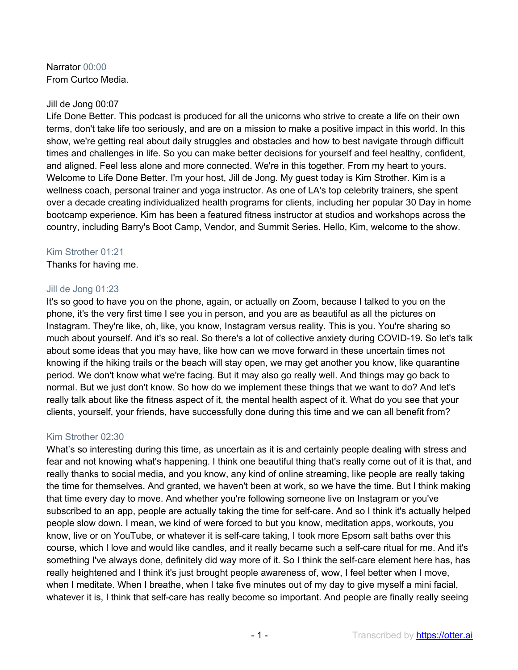Narrator 00:00 From Curtco Media.

# Jill de Jong 00:07

Life Done Better. This podcast is produced for all the unicorns who strive to create a life on their own terms, don't take life too seriously, and are on a mission to make a positive impact in this world. In this show, we're getting real about daily struggles and obstacles and how to best navigate through difficult times and challenges in life. So you can make better decisions for yourself and feel healthy, confident, and aligned. Feel less alone and more connected. We're in this together. From my heart to yours. Welcome to Life Done Better. I'm your host, Jill de Jong. My guest today is Kim Strother. Kim is a wellness coach, personal trainer and yoga instructor. As one of LA's top celebrity trainers, she spent over a decade creating individualized health programs for clients, including her popular 30 Day in home bootcamp experience. Kim has been a featured fitness instructor at studios and workshops across the country, including Barry's Boot Camp, Vendor, and Summit Series. Hello, Kim, welcome to the show.

# Kim Strother 01:21

Thanks for having me.

# Jill de Jong 01:23

It's so good to have you on the phone, again, or actually on Zoom, because I talked to you on the phone, it's the very first time I see you in person, and you are as beautiful as all the pictures on Instagram. They're like, oh, like, you know, Instagram versus reality. This is you. You're sharing so much about yourself. And it's so real. So there's a lot of collective anxiety during COVID-19. So let's talk about some ideas that you may have, like how can we move forward in these uncertain times not knowing if the hiking trails or the beach will stay open, we may get another you know, like quarantine period. We don't know what we're facing. But it may also go really well. And things may go back to normal. But we just don't know. So how do we implement these things that we want to do? And let's really talk about like the fitness aspect of it, the mental health aspect of it. What do you see that your clients, yourself, your friends, have successfully done during this time and we can all benefit from?

# Kim Strother 02:30

What's so interesting during this time, as uncertain as it is and certainly people dealing with stress and fear and not knowing what's happening. I think one beautiful thing that's really come out of it is that, and really thanks to social media, and you know, any kind of online streaming, like people are really taking the time for themselves. And granted, we haven't been at work, so we have the time. But I think making that time every day to move. And whether you're following someone live on Instagram or you've subscribed to an app, people are actually taking the time for self-care. And so I think it's actually helped people slow down. I mean, we kind of were forced to but you know, meditation apps, workouts, you know, live or on YouTube, or whatever it is self-care taking, I took more Epsom salt baths over this course, which I love and would like candles, and it really became such a self-care ritual for me. And it's something I've always done, definitely did way more of it. So I think the self-care element here has, has really heightened and I think it's just brought people awareness of, wow, I feel better when I move, when I meditate. When I breathe, when I take five minutes out of my day to give myself a mini facial, whatever it is, I think that self-care has really become so important. And people are finally really seeing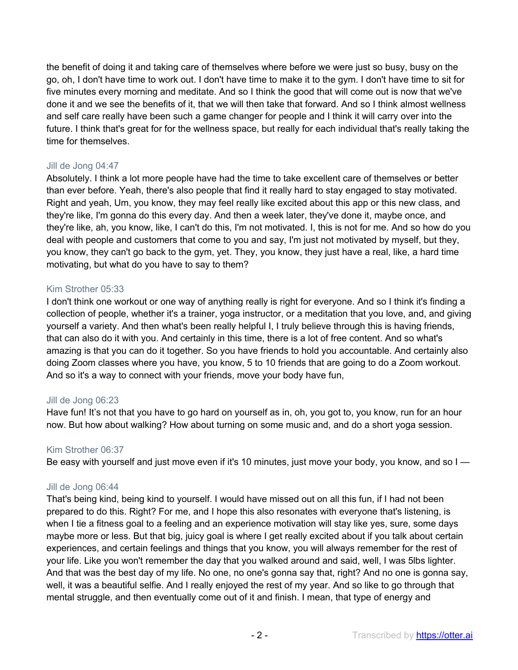the benefit of doing it and taking care of themselves where before we were just so busy, busy on the go, oh, I don't have time to work out. I don't have time to make it to the gym. I don't have time to sit for five minutes every morning and meditate. And so I think the good that will come out is now that we've done it and we see the benefits of it, that we will then take that forward. And so I think almost wellness and self care really have been such a game changer for people and I think it will carry over into the future. I think that's great for for the wellness space, but really for each individual that's really taking the time for themselves.

## Jill de Jong 04:47

Absolutely. I think a lot more people have had the time to take excellent care of themselves or better than ever before. Yeah, there's also people that find it really hard to stay engaged to stay motivated. Right and yeah, Um, you know, they may feel really like excited about this app or this new class, and they're like, I'm gonna do this every day. And then a week later, they've done it, maybe once, and they're like, ah, you know, like, I can't do this, I'm not motivated. I, this is not for me. And so how do you deal with people and customers that come to you and say, I'm just not motivated by myself, but they, you know, they can't go back to the gym, yet. They, you know, they just have a real, like, a hard time motivating, but what do you have to say to them?

# Kim Strother 05:33

I don't think one workout or one way of anything really is right for everyone. And so I think it's finding a collection of people, whether it's a trainer, yoga instructor, or a meditation that you love, and, and giving yourself a variety. And then what's been really helpful I, I truly believe through this is having friends, that can also do it with you. And certainly in this time, there is a lot of free content. And so what's amazing is that you can do it together. So you have friends to hold you accountable. And certainly also doing Zoom classes where you have, you know, 5 to 10 friends that are going to do a Zoom workout. And so it's a way to connect with your friends, move your body have fun,

# Jill de Jong 06:23

Have fun! It's not that you have to go hard on yourself as in, oh, you got to, you know, run for an hour now. But how about walking? How about turning on some music and, and do a short yoga session.

### Kim Strother 06:37

Be easy with yourself and just move even if it's 10 minutes, just move your body, you know, and so I

### Jill de Jong 06:44

That's being kind, being kind to yourself. I would have missed out on all this fun, if I had not been prepared to do this. Right? For me, and I hope this also resonates with everyone that's listening, is when I tie a fitness goal to a feeling and an experience motivation will stay like yes, sure, some days maybe more or less. But that big, juicy goal is where I get really excited about if you talk about certain experiences, and certain feelings and things that you know, you will always remember for the rest of your life. Like you won't remember the day that you walked around and said, well, I was 5lbs lighter. And that was the best day of my life. No one, no one's gonna say that, right? And no one is gonna say, well, it was a beautiful selfie. And I really enjoyed the rest of my year. And so like to go through that mental struggle, and then eventually come out of it and finish. I mean, that type of energy and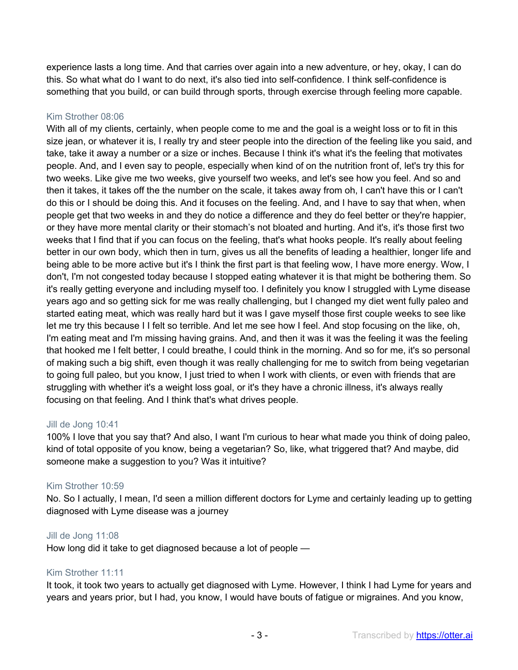experience lasts a long time. And that carries over again into a new adventure, or hey, okay, I can do this. So what what do I want to do next, it's also tied into self-confidence. I think self-confidence is something that you build, or can build through sports, through exercise through feeling more capable.

## Kim Strother 08:06

With all of my clients, certainly, when people come to me and the goal is a weight loss or to fit in this size jean, or whatever it is, I really try and steer people into the direction of the feeling like you said, and take, take it away a number or a size or inches. Because I think it's what it's the feeling that motivates people. And, and I even say to people, especially when kind of on the nutrition front of, let's try this for two weeks. Like give me two weeks, give yourself two weeks, and let's see how you feel. And so and then it takes, it takes off the the number on the scale, it takes away from oh, I can't have this or I can't do this or I should be doing this. And it focuses on the feeling. And, and I have to say that when, when people get that two weeks in and they do notice a difference and they do feel better or they're happier, or they have more mental clarity or their stomach's not bloated and hurting. And it's, it's those first two weeks that I find that if you can focus on the feeling, that's what hooks people. It's really about feeling better in our own body, which then in turn, gives us all the benefits of leading a healthier, longer life and being able to be more active but it's I think the first part is that feeling wow, I have more energy. Wow, I don't, I'm not congested today because I stopped eating whatever it is that might be bothering them. So it's really getting everyone and including myself too. I definitely you know I struggled with Lyme disease years ago and so getting sick for me was really challenging, but I changed my diet went fully paleo and started eating meat, which was really hard but it was I gave myself those first couple weeks to see like let me try this because I I felt so terrible. And let me see how I feel. And stop focusing on the like, oh, I'm eating meat and I'm missing having grains. And, and then it was it was the feeling it was the feeling that hooked me I felt better, I could breathe, I could think in the morning. And so for me, it's so personal of making such a big shift, even though it was really challenging for me to switch from being vegetarian to going full paleo, but you know, I just tried to when I work with clients, or even with friends that are struggling with whether it's a weight loss goal, or it's they have a chronic illness, it's always really focusing on that feeling. And I think that's what drives people.

### Jill de Jong 10:41

100% I love that you say that? And also, I want I'm curious to hear what made you think of doing paleo, kind of total opposite of you know, being a vegetarian? So, like, what triggered that? And maybe, did someone make a suggestion to you? Was it intuitive?

# Kim Strother 10:59

No. So I actually, I mean, I'd seen a million different doctors for Lyme and certainly leading up to getting diagnosed with Lyme disease was a journey

### Jill de Jong 11:08

How long did it take to get diagnosed because a lot of people —

# Kim Strother 11:11

It took, it took two years to actually get diagnosed with Lyme. However, I think I had Lyme for years and years and years prior, but I had, you know, I would have bouts of fatigue or migraines. And you know,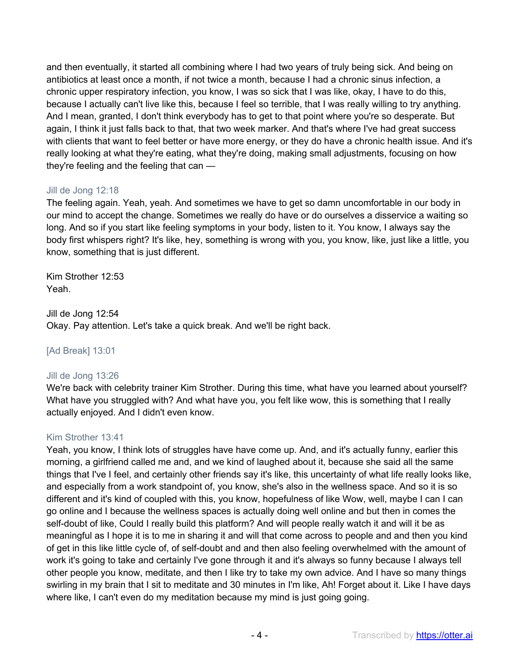and then eventually, it started all combining where I had two years of truly being sick. And being on antibiotics at least once a month, if not twice a month, because I had a chronic sinus infection, a chronic upper respiratory infection, you know, I was so sick that I was like, okay, I have to do this, because I actually can't live like this, because I feel so terrible, that I was really willing to try anything. And I mean, granted, I don't think everybody has to get to that point where you're so desperate. But again, I think it just falls back to that, that two week marker. And that's where I've had great success with clients that want to feel better or have more energy, or they do have a chronic health issue. And it's really looking at what they're eating, what they're doing, making small adjustments, focusing on how they're feeling and the feeling that can —

# Jill de Jong 12:18

The feeling again. Yeah, yeah. And sometimes we have to get so damn uncomfortable in our body in our mind to accept the change. Sometimes we really do have or do ourselves a disservice a waiting so long. And so if you start like feeling symptoms in your body, listen to it. You know, I always say the body first whispers right? It's like, hey, something is wrong with you, you know, like, just like a little, you know, something that is just different.

Kim Strother 12:53 Yeah.

Jill de Jong 12:54 Okay. Pay attention. Let's take a quick break. And we'll be right back.

# [Ad Break] 13:01

# Jill de Jong 13:26

We're back with celebrity trainer Kim Strother. During this time, what have you learned about yourself? What have you struggled with? And what have you, you felt like wow, this is something that I really actually enjoyed. And I didn't even know.

### Kim Strother 13:41

Yeah, you know, I think lots of struggles have have come up. And, and it's actually funny, earlier this morning, a girlfriend called me and, and we kind of laughed about it, because she said all the same things that I've I feel, and certainly other friends say it's like, this uncertainty of what life really looks like, and especially from a work standpoint of, you know, she's also in the wellness space. And so it is so different and it's kind of coupled with this, you know, hopefulness of like Wow, well, maybe I can I can go online and I because the wellness spaces is actually doing well online and but then in comes the self-doubt of like, Could I really build this platform? And will people really watch it and will it be as meaningful as I hope it is to me in sharing it and will that come across to people and and then you kind of get in this like little cycle of, of self-doubt and and then also feeling overwhelmed with the amount of work it's going to take and certainly I've gone through it and it's always so funny because I always tell other people you know, meditate, and then I like try to take my own advice. And I have so many things swirling in my brain that I sit to meditate and 30 minutes in I'm like, Ah! Forget about it. Like I have days where like, I can't even do my meditation because my mind is just going going.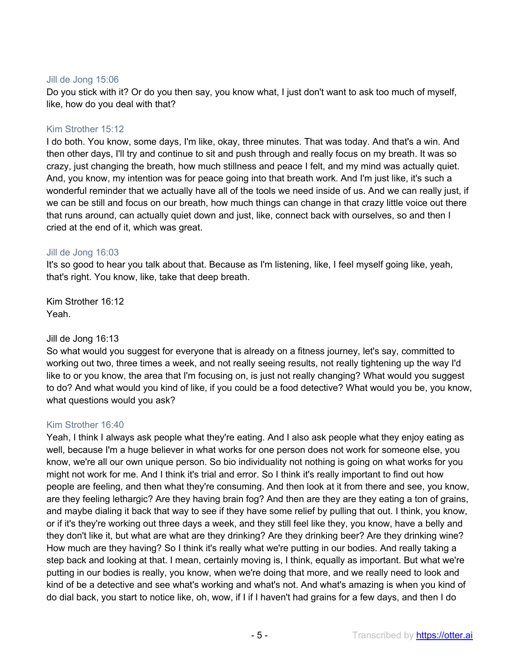## Jill de Jong 15:06

Do you stick with it? Or do you then say, you know what, I just don't want to ask too much of myself, like, how do you deal with that?

## Kim Strother 15:12

I do both. You know, some days, I'm like, okay, three minutes. That was today. And that's a win. And then other days, I'll try and continue to sit and push through and really focus on my breath. It was so crazy, just changing the breath, how much stillness and peace I felt, and my mind was actually quiet. And, you know, my intention was for peace going into that breath work. And I'm just like, it's such a wonderful reminder that we actually have all of the tools we need inside of us. And we can really just, if we can be still and focus on our breath, how much things can change in that crazy little voice out there that runs around, can actually quiet down and just, like, connect back with ourselves, so and then I cried at the end of it, which was great.

## Jill de Jong 16:03

It's so good to hear you talk about that. Because as I'm listening, like, I feel myself going like, yeah, that's right. You know, like, take that deep breath.

Kim Strother 16:12 Yeah.

# Jill de Jong 16:13

So what would you suggest for everyone that is already on a fitness journey, let's say, committed to working out two, three times a week, and not really seeing results, not really tightening up the way I'd like to or you know, the area that I'm focusing on, is just not really changing? What would you suggest to do? And what would you kind of like, if you could be a food detective? What would you be, you know, what questions would you ask?

# Kim Strother 16:40

Yeah, I think I always ask people what they're eating. And I also ask people what they enjoy eating as well, because I'm a huge believer in what works for one person does not work for someone else, you know, we're all our own unique person. So bio individuality not nothing is going on what works for you might not work for me. And I think it's trial and error. So I think it's really important to find out how people are feeling, and then what they're consuming. And then look at it from there and see, you know, are they feeling lethargic? Are they having brain fog? And then are they are they eating a ton of grains, and maybe dialing it back that way to see if they have some relief by pulling that out. I think, you know, or if it's they're working out three days a week, and they still feel like they, you know, have a belly and they don't like it, but what are what are they drinking? Are they drinking beer? Are they drinking wine? How much are they having? So I think it's really what we're putting in our bodies. And really taking a step back and looking at that. I mean, certainly moving is, I think, equally as important. But what we're putting in our bodies is really, you know, when we're doing that more, and we really need to look and kind of be a detective and see what's working and what's not. And what's amazing is when you kind of do dial back, you start to notice like, oh, wow, if I if I haven't had grains for a few days, and then I do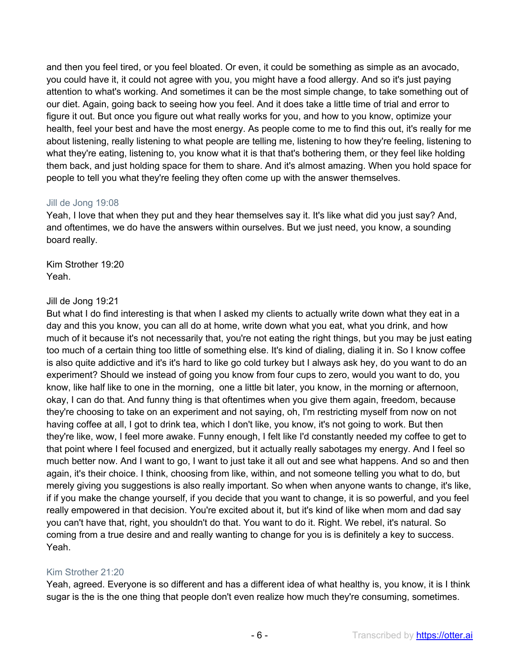and then you feel tired, or you feel bloated. Or even, it could be something as simple as an avocado, you could have it, it could not agree with you, you might have a food allergy. And so it's just paying attention to what's working. And sometimes it can be the most simple change, to take something out of our diet. Again, going back to seeing how you feel. And it does take a little time of trial and error to figure it out. But once you figure out what really works for you, and how to you know, optimize your health, feel your best and have the most energy. As people come to me to find this out, it's really for me about listening, really listening to what people are telling me, listening to how they're feeling, listening to what they're eating, listening to, you know what it is that that's bothering them, or they feel like holding them back, and just holding space for them to share. And it's almost amazing. When you hold space for people to tell you what they're feeling they often come up with the answer themselves.

## Jill de Jong 19:08

Yeah, I love that when they put and they hear themselves say it. It's like what did you just say? And, and oftentimes, we do have the answers within ourselves. But we just need, you know, a sounding board really.

Kim Strother 19:20 Yeah.

# Jill de Jong 19:21

But what I do find interesting is that when I asked my clients to actually write down what they eat in a day and this you know, you can all do at home, write down what you eat, what you drink, and how much of it because it's not necessarily that, you're not eating the right things, but you may be just eating too much of a certain thing too little of something else. It's kind of dialing, dialing it in. So I know coffee is also quite addictive and it's it's hard to like go cold turkey but I always ask hey, do you want to do an experiment? Should we instead of going you know from four cups to zero, would you want to do, you know, like half like to one in the morning, one a little bit later, you know, in the morning or afternoon, okay, I can do that. And funny thing is that oftentimes when you give them again, freedom, because they're choosing to take on an experiment and not saying, oh, I'm restricting myself from now on not having coffee at all, I got to drink tea, which I don't like, you know, it's not going to work. But then they're like, wow, I feel more awake. Funny enough, I felt like I'd constantly needed my coffee to get to that point where I feel focused and energized, but it actually really sabotages my energy. And I feel so much better now. And I want to go, I want to just take it all out and see what happens. And so and then again, it's their choice. I think, choosing from like, within, and not someone telling you what to do, but merely giving you suggestions is also really important. So when when anyone wants to change, it's like, if if you make the change yourself, if you decide that you want to change, it is so powerful, and you feel really empowered in that decision. You're excited about it, but it's kind of like when mom and dad say you can't have that, right, you shouldn't do that. You want to do it. Right. We rebel, it's natural. So coming from a true desire and and really wanting to change for you is is definitely a key to success. Yeah.

# Kim Strother 21:20

Yeah, agreed. Everyone is so different and has a different idea of what healthy is, you know, it is I think sugar is the is the one thing that people don't even realize how much they're consuming, sometimes.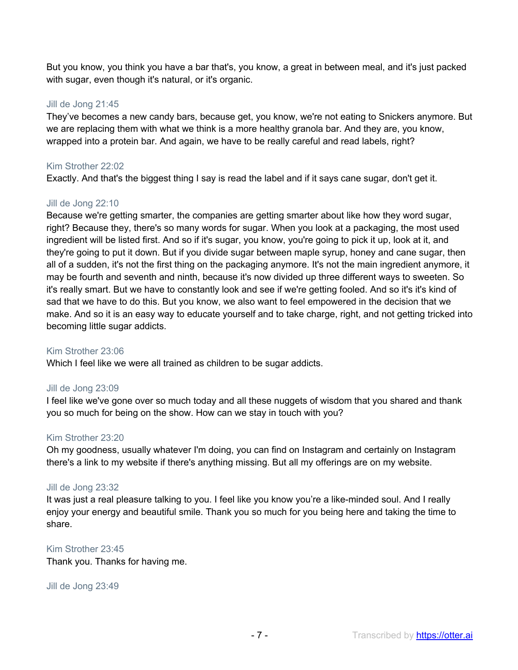But you know, you think you have a bar that's, you know, a great in between meal, and it's just packed with sugar, even though it's natural, or it's organic.

## Jill de Jong 21:45

They've becomes a new candy bars, because get, you know, we're not eating to Snickers anymore. But we are replacing them with what we think is a more healthy granola bar. And they are, you know, wrapped into a protein bar. And again, we have to be really careful and read labels, right?

## Kim Strother 22:02

Exactly. And that's the biggest thing I say is read the label and if it says cane sugar, don't get it.

## Jill de Jong 22:10

Because we're getting smarter, the companies are getting smarter about like how they word sugar, right? Because they, there's so many words for sugar. When you look at a packaging, the most used ingredient will be listed first. And so if it's sugar, you know, you're going to pick it up, look at it, and they're going to put it down. But if you divide sugar between maple syrup, honey and cane sugar, then all of a sudden, it's not the first thing on the packaging anymore. It's not the main ingredient anymore, it may be fourth and seventh and ninth, because it's now divided up three different ways to sweeten. So it's really smart. But we have to constantly look and see if we're getting fooled. And so it's it's kind of sad that we have to do this. But you know, we also want to feel empowered in the decision that we make. And so it is an easy way to educate yourself and to take charge, right, and not getting tricked into becoming little sugar addicts.

# Kim Strother 23:06

Which I feel like we were all trained as children to be sugar addicts.

### Jill de Jong 23:09

I feel like we've gone over so much today and all these nuggets of wisdom that you shared and thank you so much for being on the show. How can we stay in touch with you?

## Kim Strother 23:20

Oh my goodness, usually whatever I'm doing, you can find on Instagram and certainly on Instagram there's a link to my website if there's anything missing. But all my offerings are on my website.

### Jill de Jong 23:32

It was just a real pleasure talking to you. I feel like you know you're a like-minded soul. And I really enjoy your energy and beautiful smile. Thank you so much for you being here and taking the time to share.

### Kim Strother 23:45

Thank you. Thanks for having me.

### Jill de Jong 23:49